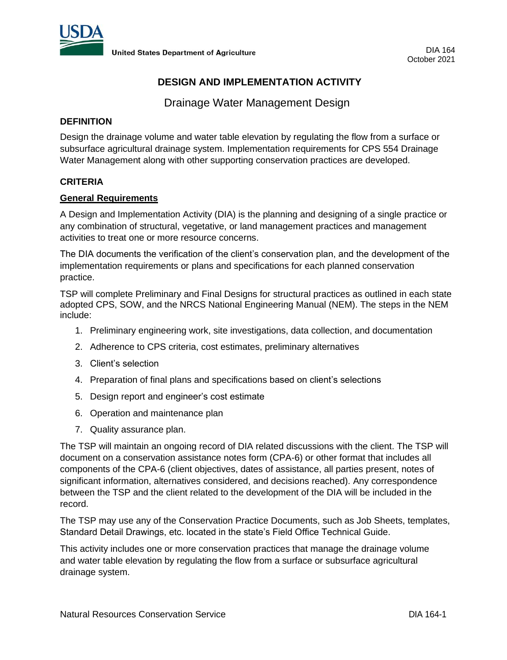

# **DESIGN AND IMPLEMENTATION ACTIVITY**

Drainage Water Management Design

# **DEFINITION**

Design the drainage volume and water table elevation by regulating the flow from a surface or subsurface agricultural drainage system. Implementation requirements for CPS 554 Drainage Water Management along with other supporting conservation practices are developed.

### **CRITERIA**

#### **General Requirements**

A Design and Implementation Activity (DIA) is the planning and designing of a single practice or any combination of structural, vegetative, or land management practices and management activities to treat one or more resource concerns.

The DIA documents the verification of the client's conservation plan, and the development of the implementation requirements or plans and specifications for each planned conservation practice.

TSP will complete Preliminary and Final Designs for structural practices as outlined in each state adopted CPS, SOW, and the NRCS National Engineering Manual (NEM). The steps in the NEM include:

- 1. Preliminary engineering work, site investigations, data collection, and documentation
- 2. Adherence to CPS criteria, cost estimates, preliminary alternatives
- 3. Client's selection
- 4. Preparation of final plans and specifications based on client's selections
- 5. Design report and engineer's cost estimate
- 6. Operation and maintenance plan
- 7. Quality assurance plan.

The TSP will maintain an ongoing record of DIA related discussions with the client. The TSP will document on a conservation assistance notes form (CPA-6) or other format that includes all components of the CPA-6 (client objectives, dates of assistance, all parties present, notes of significant information, alternatives considered, and decisions reached). Any correspondence between the TSP and the client related to the development of the DIA will be included in the record.

The TSP may use any of the Conservation Practice Documents, such as Job Sheets, templates, Standard Detail Drawings, etc. located in the state's Field Office Technical Guide.

This activity includes one or more conservation practices that manage the drainage volume and water table elevation by regulating the flow from a surface or subsurface agricultural drainage system.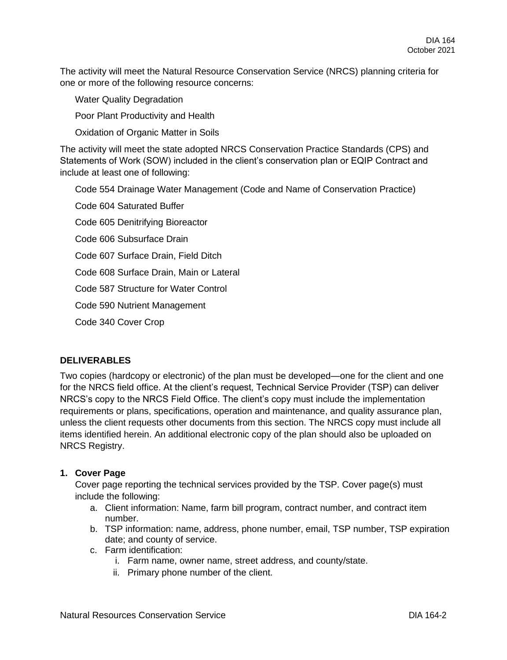The activity will meet the Natural Resource Conservation Service (NRCS) planning criteria for one or more of the following resource concerns:

Water Quality Degradation

Poor Plant Productivity and Health

Oxidation of Organic Matter in Soils

The activity will meet the state adopted NRCS Conservation Practice Standards (CPS) and Statements of Work (SOW) included in the client's conservation plan or EQIP Contract and include at least one of following:

Code 554 Drainage Water Management (Code and Name of Conservation Practice)

Code 604 Saturated Buffer

Code 605 Denitrifying Bioreactor

Code 606 Subsurface Drain

Code 607 Surface Drain, Field Ditch

Code 608 Surface Drain, Main or Lateral

Code 587 Structure for Water Control

Code 590 Nutrient Management

Code 340 Cover Crop

# **DELIVERABLES**

Two copies (hardcopy or electronic) of the plan must be developed—one for the client and one for the NRCS field office. At the client's request, Technical Service Provider (TSP) can deliver NRCS's copy to the NRCS Field Office. The client's copy must include the implementation requirements or plans, specifications, operation and maintenance, and quality assurance plan, unless the client requests other documents from this section. The NRCS copy must include all items identified herein. An additional electronic copy of the plan should also be uploaded on NRCS Registry.

# **1. Cover Page**

Cover page reporting the technical services provided by the TSP. Cover page(s) must include the following:

- a. Client information: Name, farm bill program, contract number, and contract item number.
- b. TSP information: name, address, phone number, email, TSP number, TSP expiration date; and county of service.
- c. Farm identification:
	- i. Farm name, owner name, street address, and county/state.
	- ii. Primary phone number of the client.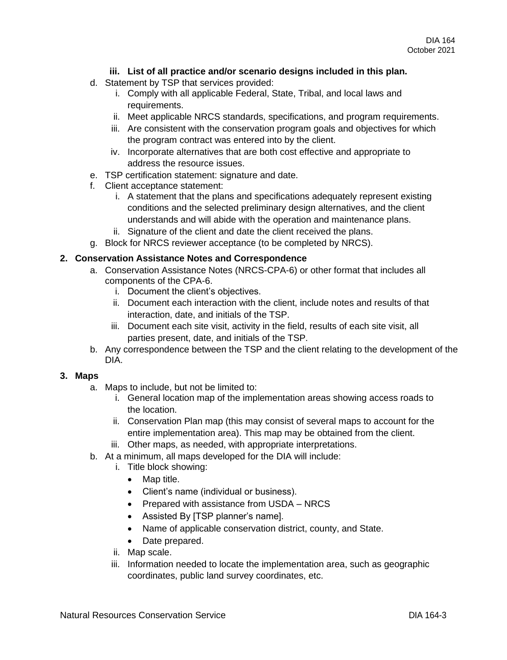# **iii. List of all practice and/or scenario designs included in this plan.**

- d. Statement by TSP that services provided:
	- i. Comply with all applicable Federal, State, Tribal, and local laws and requirements.
	- ii. Meet applicable NRCS standards, specifications, and program requirements.
	- iii. Are consistent with the conservation program goals and objectives for which the program contract was entered into by the client.
	- iv. Incorporate alternatives that are both cost effective and appropriate to address the resource issues.
- e. TSP certification statement: signature and date.
- f. Client acceptance statement:
	- i. A statement that the plans and specifications adequately represent existing conditions and the selected preliminary design alternatives, and the client understands and will abide with the operation and maintenance plans.
	- ii. Signature of the client and date the client received the plans.
- g. Block for NRCS reviewer acceptance (to be completed by NRCS).

#### **2. Conservation Assistance Notes and Correspondence**

- a. Conservation Assistance Notes (NRCS-CPA-6) or other format that includes all components of the CPA-6.
	- i. Document the client's objectives.
	- ii. Document each interaction with the client, include notes and results of that interaction, date, and initials of the TSP.
	- iii. Document each site visit, activity in the field, results of each site visit, all parties present, date, and initials of the TSP.
- b. Any correspondence between the TSP and the client relating to the development of the DIA.

### **3. Maps**

- a. Maps to include, but not be limited to:
	- i. General location map of the implementation areas showing access roads to the location.
	- ii. Conservation Plan map (this may consist of several maps to account for the entire implementation area). This map may be obtained from the client.
	- iii. Other maps, as needed, with appropriate interpretations.
- b. At a minimum, all maps developed for the DIA will include:
	- i. Title block showing:
		- Map title.
		- Client's name (individual or business).
		- Prepared with assistance from USDA NRCS
		- Assisted By [TSP planner's name].
		- Name of applicable conservation district, county, and State.
		- Date prepared.
	- ii. Map scale.
	- iii. Information needed to locate the implementation area, such as geographic coordinates, public land survey coordinates, etc.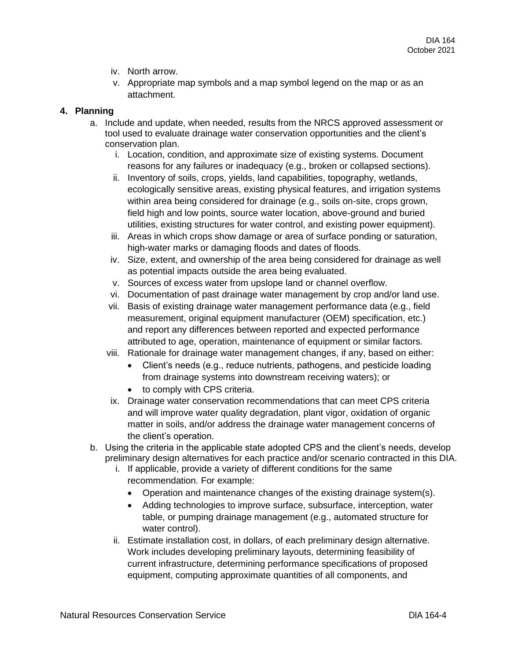- iv. North arrow.
- v. Appropriate map symbols and a map symbol legend on the map or as an attachment.

#### **4. Planning**

- a. Include and update, when needed, results from the NRCS approved assessment or tool used to evaluate drainage water conservation opportunities and the client's conservation plan.
	- i. Location, condition, and approximate size of existing systems. Document reasons for any failures or inadequacy (e.g., broken or collapsed sections).
	- ii. Inventory of soils, crops, yields, land capabilities, topography, wetlands, ecologically sensitive areas, existing physical features, and irrigation systems within area being considered for drainage (e.g., soils on-site, crops grown, field high and low points, source water location, above-ground and buried utilities, existing structures for water control, and existing power equipment).
	- iii. Areas in which crops show damage or area of surface ponding or saturation, high-water marks or damaging floods and dates of floods.
	- iv. Size, extent, and ownership of the area being considered for drainage as well as potential impacts outside the area being evaluated.
	- v. Sources of excess water from upslope land or channel overflow.
	- vi. Documentation of past drainage water management by crop and/or land use.
	- vii. Basis of existing drainage water management performance data (e.g., field measurement, original equipment manufacturer (OEM) specification, etc.) and report any differences between reported and expected performance attributed to age, operation, maintenance of equipment or similar factors.
	- viii. Rationale for drainage water management changes, if any, based on either:
		- Client's needs (e.g., reduce nutrients, pathogens, and pesticide loading from drainage systems into downstream receiving waters); or
		- to comply with CPS criteria.
	- ix. Drainage water conservation recommendations that can meet CPS criteria and will improve water quality degradation, plant vigor, oxidation of organic matter in soils, and/or address the drainage water management concerns of the client's operation.
- b. Using the criteria in the applicable state adopted CPS and the client's needs, develop preliminary design alternatives for each practice and/or scenario contracted in this DIA.
	- i. If applicable, provide a variety of different conditions for the same recommendation. For example:
		- Operation and maintenance changes of the existing drainage system(s).
		- Adding technologies to improve surface, subsurface, interception, water table, or pumping drainage management (e.g., automated structure for water control).
	- ii. Estimate installation cost, in dollars, of each preliminary design alternative. Work includes developing preliminary layouts, determining feasibility of current infrastructure, determining performance specifications of proposed equipment, computing approximate quantities of all components, and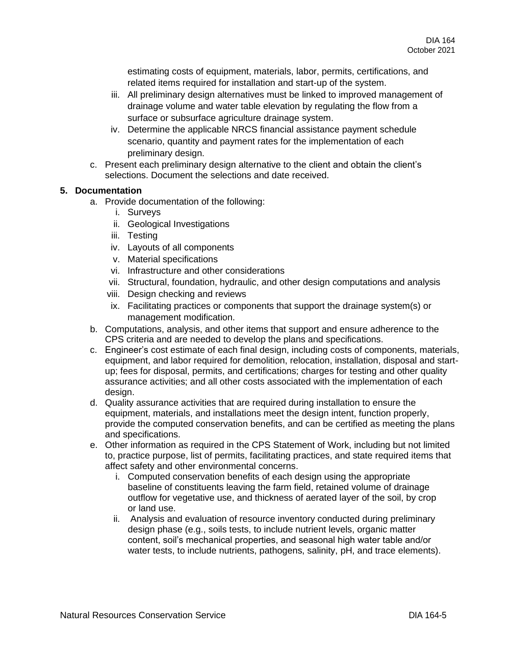estimating costs of equipment, materials, labor, permits, certifications, and related items required for installation and start-up of the system.

- iii. All preliminary design alternatives must be linked to improved management of drainage volume and water table elevation by regulating the flow from a surface or subsurface agriculture drainage system.
- iv. Determine the applicable NRCS financial assistance payment schedule scenario, quantity and payment rates for the implementation of each preliminary design.
- c. Present each preliminary design alternative to the client and obtain the client's selections. Document the selections and date received.

### **5. Documentation**

- a. Provide documentation of the following:
	- i. Surveys
	- ii. Geological Investigations
	- iii. Testing
	- iv. Layouts of all components
	- v. Material specifications
	- vi. Infrastructure and other considerations
	- vii. Structural, foundation, hydraulic, and other design computations and analysis
	- viii. Design checking and reviews
	- ix. Facilitating practices or components that support the drainage system(s) or management modification.
- b. Computations, analysis, and other items that support and ensure adherence to the CPS criteria and are needed to develop the plans and specifications.
- c. Engineer's cost estimate of each final design, including costs of components, materials, equipment, and labor required for demolition, relocation, installation, disposal and startup; fees for disposal, permits, and certifications; charges for testing and other quality assurance activities; and all other costs associated with the implementation of each design.
- d. Quality assurance activities that are required during installation to ensure the equipment, materials, and installations meet the design intent, function properly, provide the computed conservation benefits, and can be certified as meeting the plans and specifications.
- e. Other information as required in the CPS Statement of Work, including but not limited to, practice purpose, list of permits, facilitating practices, and state required items that affect safety and other environmental concerns.
	- i. Computed conservation benefits of each design using the appropriate baseline of constituents leaving the farm field, retained volume of drainage outflow for vegetative use, and thickness of aerated layer of the soil, by crop or land use.
	- ii. Analysis and evaluation of resource inventory conducted during preliminary design phase (e.g., soils tests, to include nutrient levels, organic matter content, soil's mechanical properties, and seasonal high water table and/or water tests, to include nutrients, pathogens, salinity, pH, and trace elements).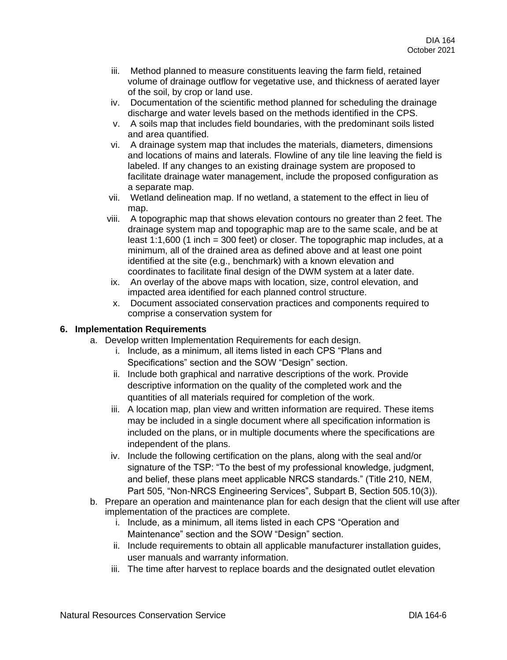- iii. Method planned to measure constituents leaving the farm field, retained volume of drainage outflow for vegetative use, and thickness of aerated layer of the soil, by crop or land use.
- iv. Documentation of the scientific method planned for scheduling the drainage discharge and water levels based on the methods identified in the CPS.
- v. A soils map that includes field boundaries, with the predominant soils listed and area quantified.
- vi. A drainage system map that includes the materials, diameters, dimensions and locations of mains and laterals. Flowline of any tile line leaving the field is labeled. If any changes to an existing drainage system are proposed to facilitate drainage water management, include the proposed configuration as a separate map.
- vii. Wetland delineation map. If no wetland, a statement to the effect in lieu of map.
- viii. A topographic map that shows elevation contours no greater than 2 feet. The drainage system map and topographic map are to the same scale, and be at least 1:1,600 (1 inch = 300 feet) or closer. The topographic map includes, at a minimum, all of the drained area as defined above and at least one point identified at the site (e.g., benchmark) with a known elevation and coordinates to facilitate final design of the DWM system at a later date.
- ix. An overlay of the above maps with location, size, control elevation, and impacted area identified for each planned control structure.
- x. Document associated conservation practices and components required to comprise a conservation system for

# **6. Implementation Requirements**

- a. Develop written Implementation Requirements for each design.
	- i. Include, as a minimum, all items listed in each CPS "Plans and Specifications" section and the SOW "Design" section.
	- ii. Include both graphical and narrative descriptions of the work. Provide descriptive information on the quality of the completed work and the quantities of all materials required for completion of the work.
	- iii. A location map, plan view and written information are required. These items may be included in a single document where all specification information is included on the plans, or in multiple documents where the specifications are independent of the plans.
	- iv. Include the following certification on the plans, along with the seal and/or signature of the TSP: "To the best of my professional knowledge, judgment, and belief, these plans meet applicable NRCS standards." (Title 210, NEM, Part 505, "Non-NRCS Engineering Services", Subpart B, Section 505.10(3)).
- b. Prepare an operation and maintenance plan for each design that the client will use after implementation of the practices are complete.
	- i. Include, as a minimum, all items listed in each CPS "Operation and Maintenance" section and the SOW "Design" section.
	- ii. Include requirements to obtain all applicable manufacturer installation guides, user manuals and warranty information.
	- iii. The time after harvest to replace boards and the designated outlet elevation